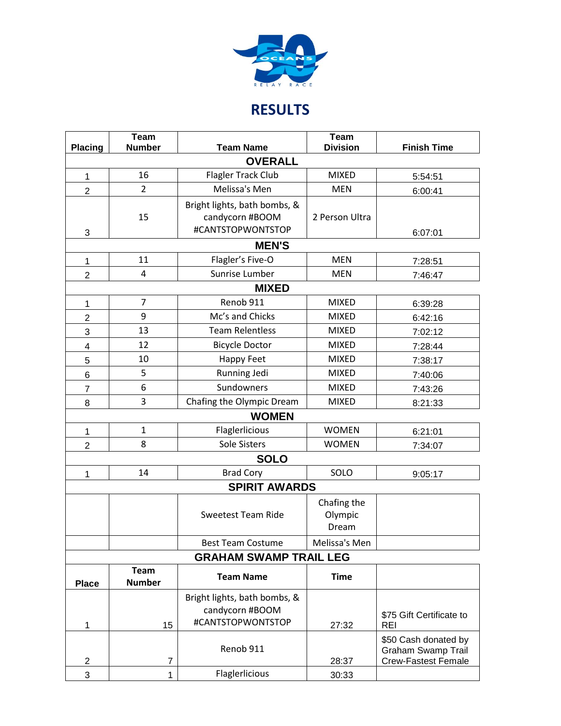

## **RESULTS**

| <b>Placing</b>                | Team<br><b>Number</b>        | <b>Team Name</b>                                                     | <b>Team</b><br><b>Division</b>  | <b>Finish Time</b>                                                              |  |  |  |
|-------------------------------|------------------------------|----------------------------------------------------------------------|---------------------------------|---------------------------------------------------------------------------------|--|--|--|
|                               |                              | <b>OVERALL</b>                                                       |                                 |                                                                                 |  |  |  |
| 1                             | 16                           | Flagler Track Club                                                   | <b>MIXED</b>                    | 5:54:51                                                                         |  |  |  |
| $\overline{2}$                | $\overline{2}$               | Melissa's Men                                                        | <b>MEN</b>                      | 6:00:41                                                                         |  |  |  |
| 3                             | 15                           | Bright lights, bath bombs, &<br>candycorn #BOOM<br>#CANTSTOPWONTSTOP | 2 Person Ultra                  | 6:07:01                                                                         |  |  |  |
| <b>MEN'S</b>                  |                              |                                                                      |                                 |                                                                                 |  |  |  |
| 1                             | 11                           | Flagler's Five-O                                                     | <b>MEN</b>                      | 7:28:51                                                                         |  |  |  |
| $\overline{2}$                | 4                            | Sunrise Lumber                                                       | <b>MEN</b>                      | 7:46:47                                                                         |  |  |  |
| <b>MIXED</b>                  |                              |                                                                      |                                 |                                                                                 |  |  |  |
| 1                             | $\overline{7}$               | Renob 911                                                            | <b>MIXED</b>                    | 6:39:28                                                                         |  |  |  |
| $\overline{2}$                | 9                            | Mc's and Chicks                                                      | <b>MIXED</b>                    | 6:42:16                                                                         |  |  |  |
| 3                             | 13                           | <b>Team Relentless</b>                                               | <b>MIXED</b>                    | 7:02:12                                                                         |  |  |  |
| 4                             | 12                           | <b>Bicycle Doctor</b>                                                | <b>MIXED</b>                    | 7:28:44                                                                         |  |  |  |
| 5                             | 10                           | Happy Feet                                                           | <b>MIXED</b>                    | 7:38:17                                                                         |  |  |  |
| $\,6$                         | 5                            | Running Jedi                                                         | <b>MIXED</b>                    | 7:40:06                                                                         |  |  |  |
| $\overline{7}$                | 6                            | Sundowners                                                           | <b>MIXED</b>                    | 7:43:26                                                                         |  |  |  |
| 8                             | 3                            | Chafing the Olympic Dream                                            | <b>MIXED</b>                    | 8:21:33                                                                         |  |  |  |
|                               |                              | <b>WOMEN</b>                                                         |                                 |                                                                                 |  |  |  |
| 1                             | $\mathbf{1}$                 | Flaglerlicious                                                       | <b>WOMEN</b>                    | 6:21:01                                                                         |  |  |  |
| $\overline{2}$                | 8                            | Sole Sisters                                                         | <b>WOMEN</b>                    | 7:34:07                                                                         |  |  |  |
|                               |                              | <b>SOLO</b>                                                          |                                 |                                                                                 |  |  |  |
| 1                             | 14                           | <b>Brad Cory</b>                                                     | SOLO                            | 9:05:17                                                                         |  |  |  |
|                               |                              | <b>SPIRIT AWARDS</b>                                                 |                                 |                                                                                 |  |  |  |
|                               |                              | <b>Sweetest Team Ride</b>                                            | Chafing the<br>Olympic<br>Dream |                                                                                 |  |  |  |
|                               |                              | <b>Best Team Costume</b>                                             | Melissa's Men                   |                                                                                 |  |  |  |
| <b>GRAHAM SWAMP TRAIL LEG</b> |                              |                                                                      |                                 |                                                                                 |  |  |  |
| <b>Place</b>                  | <b>Team</b><br><b>Number</b> | <b>Team Name</b>                                                     | <b>Time</b>                     |                                                                                 |  |  |  |
| 1                             | 15                           | Bright lights, bath bombs, &<br>candycorn #BOOM<br>#CANTSTOPWONTSTOP | 27:32                           | \$75 Gift Certificate to<br><b>REI</b>                                          |  |  |  |
| $\overline{\mathbf{c}}$       | 7                            | Renob 911                                                            | 28:37                           | \$50 Cash donated by<br><b>Graham Swamp Trail</b><br><b>Crew-Fastest Female</b> |  |  |  |
| 3                             | 1                            | Flaglerlicious                                                       | 30:33                           |                                                                                 |  |  |  |